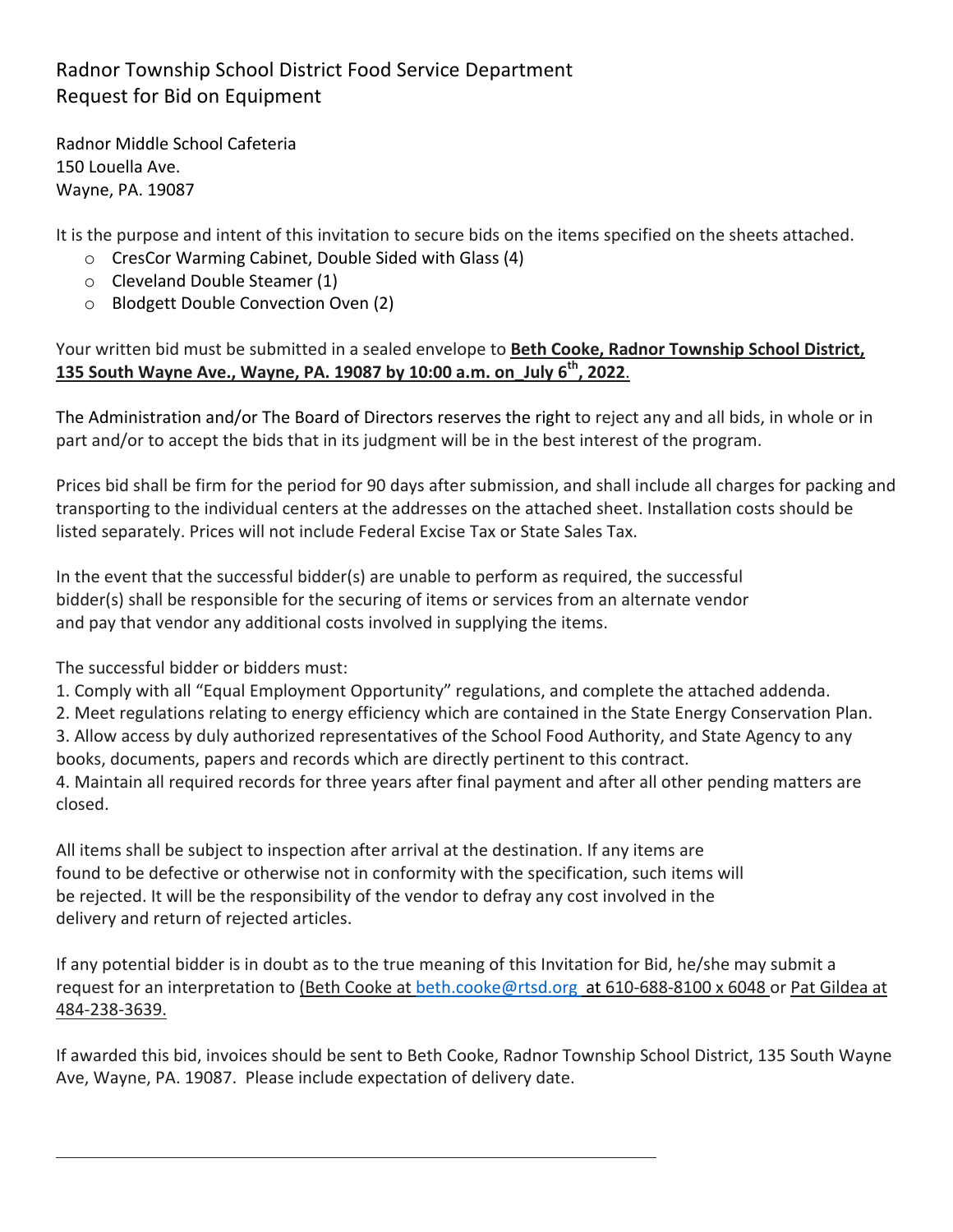## Radnor Township School District Food Service Department Request for Bid on Equipment

Radnor Middle School Cafeteria 150 Louella Ave. Wayne, PA. 19087

It is the purpose and intent of this invitation to secure bids on the items specified on the sheets attached.

- $\circ$  CresCor Warming Cabinet, Double Sided with Glass (4)
- $\circ$  Cleveland Double Steamer (1)
- $\circ$  Blodgett Double Convection Oven (2)

## Your written bid must be submitted in a sealed envelope to Beth Cooke, Radnor Township School District, **135 South Wayne Ave., Wayne, PA. 19087 by 10:00 a.m. on\_July 6th, 2022**.

The Administration and/or The Board of Directors reserves the right to reject any and all bids, in whole or in part and/or to accept the bids that in its judgment will be in the best interest of the program.

Prices bid shall be firm for the period for 90 days after submission, and shall include all charges for packing and transporting to the individual centers at the addresses on the attached sheet. Installation costs should be listed separately. Prices will not include Federal Excise Tax or State Sales Tax.

In the event that the successful bidder(s) are unable to perform as required, the successful bidder(s) shall be responsible for the securing of items or services from an alternate vendor and pay that vendor any additional costs involved in supplying the items.

The successful bidder or bidders must:

1. Comply with all "Equal Employment Opportunity" regulations, and complete the attached addenda.

2. Meet regulations relating to energy efficiency which are contained in the State Energy Conservation Plan. 3. Allow access by duly authorized representatives of the School Food Authority, and State Agency to any books, documents, papers and records which are directly pertinent to this contract.

4. Maintain all required records for three years after final payment and after all other pending matters are closed. 

All items shall be subject to inspection after arrival at the destination. If any items are found to be defective or otherwise not in conformity with the specification, such items will be rejected. It will be the responsibility of the vendor to defray any cost involved in the delivery and return of rejected articles.

If any potential bidder is in doubt as to the true meaning of this Invitation for Bid, he/she may submit a request for an interpretation to (Beth Cooke at beth.cooke@rtsd.org at 610-688-8100 x 6048 or Pat Gildea at 484-238-3639.

If awarded this bid, invoices should be sent to Beth Cooke, Radnor Township School District, 135 South Wayne Ave, Wayne, PA. 19087. Please include expectation of delivery date.